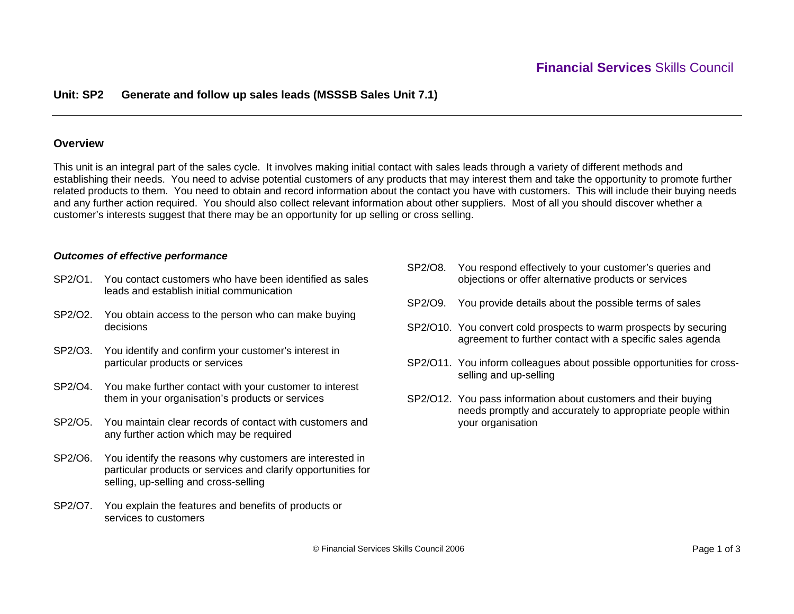## **Unit: SP2 Generate and follow up sales leads (MSSSB Sales Unit 7.1)**

### **Overview**

This unit is an integral part of the sales cycle. It involves making initial contact with sales leads through a variety of different methods and establishing their needs. You need to advise potential customers of any products that may interest them and take the opportunity to promote further related products to them. You need to obtain and record information about the contact you have with customers. This will include their buying needs and any further action required. You should also collect relevant information about other suppliers. Most of all you should discover whether a customer's interests suggest that there may be an opportunity for up selling or cross selling.

#### *Outcomes of effective performance*

- SP2/O1. You contact customers who have been identified as sales leads and establish initial communication
- SP2/O2. You obtain access to the person who can make buying decisions
- SP2/O3. You identify and confirm your customer's interest in particular products or services
- SP2/O4. You make further contact with your customer to interest them in your organisation's products or services
- SP2/O5. You maintain clear records of contact with customers and any further action which may be required
- SP2/O6. You identify the reasons why customers are interested in particular products or services and clarify opportunities for selling, up-selling and cross-selling
- SP2/O7. You explain the features and benefits of products or services to customers
- SP2/O8. You respond effectively to your customer's queries and objections or offer alternative products or services
- SP2/O9. You provide details about the possible terms of sales
- SP2/O10. You convert cold prospects to warm prospects by securing agreement to further contact with a specific sales agenda
- SP2/O11. You inform colleagues about possible opportunities for crossselling and up-selling
- SP2/O12. You pass information about customers and their buying needs promptly and accurately to appropriate people within your organisation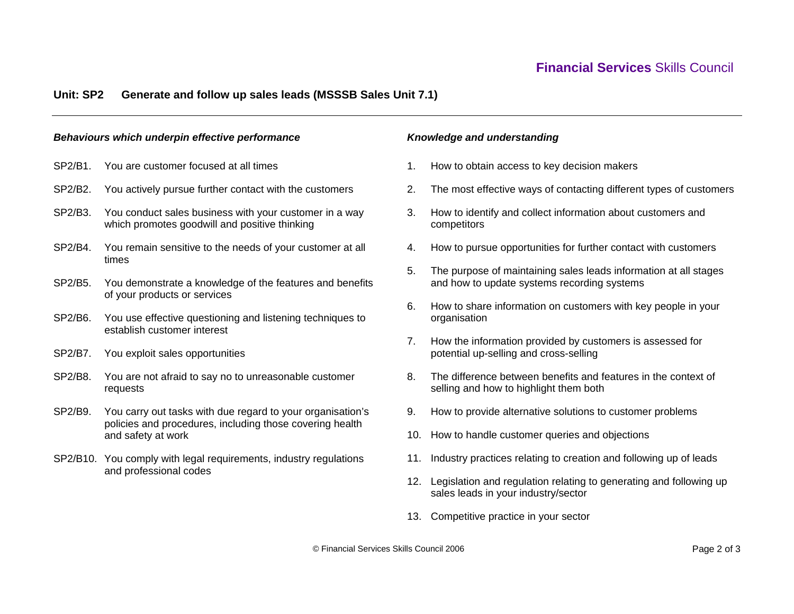# **Financial Services** Skills Council

### **Unit: SP2 Generate and follow up sales leads (MSSSB Sales Unit 7.1)**

#### *Behaviours which underpin effective performance*

- SP2/B1. You are customer focused at all times
- SP2/B2. You actively pursue further contact with the customers
- SP2/B3. You conduct sales business with your customer in a way which promotes goodwill and positive thinking
- SP2/B4. You remain sensitive to the needs of your customer at all times
- SP2/B5. You demonstrate a knowledge of the features and benefits of your products or services
- SP2/B6. You use effective questioning and listening techniques to establish customer interest
- SP2/B7. You exploit sales opportunities
- SP2/B8. You are not afraid to say no to unreasonable customer requests
- SP2/B9. You carry out tasks with due regard to your organisation's policies and procedures, including those covering health and safety at work
- SP2/B10. You comply with legal requirements, industry regulations and professional codes

#### *Knowledge and understanding*

- 1. How to obtain access to key decision makers
- 2. The most effective ways of contacting different types of customers
- 3. How to identify and collect information about customers and competitors
- 4. How to pursue opportunities for further contact with customers
- 5. The purpose of maintaining sales leads information at all stages and how to update systems recording systems
- 6. How to share information on customers with key people in your organisation
- 7. How the information provided by customers is assessed for potential up-selling and cross-selling
- 8. The difference between benefits and features in the context of selling and how to highlight them both
- 9. How to provide alternative solutions to customer problems
- 10. How to handle customer queries and objections
- 11. Industry practices relating to creation and following up of leads
- 12. Legislation and regulation relating to generating and following up sales leads in your industry/sector
- 13. Competitive practice in your sector